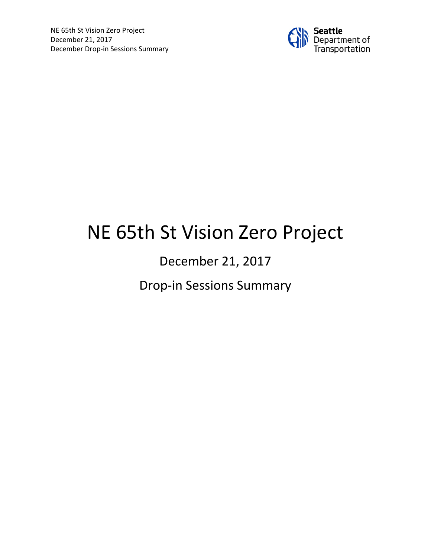

# NE 65th St Vision Zero Project

# December 21, 2017

Drop-in Sessions Summary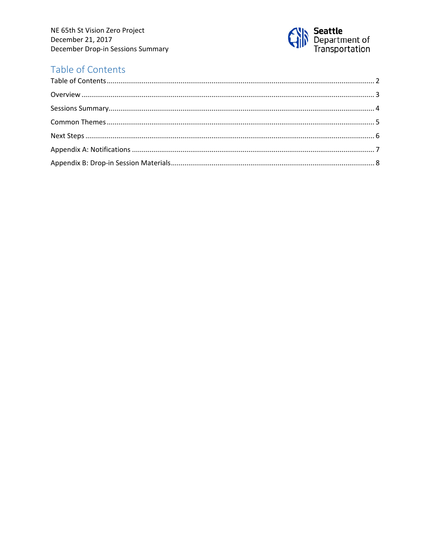

## <span id="page-1-0"></span>Table of Contents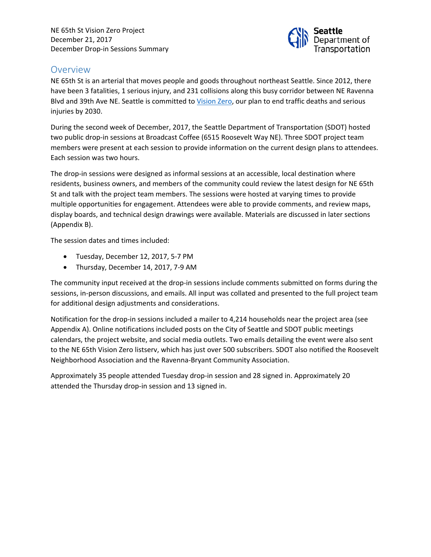

#### <span id="page-2-0"></span>**Overview**

NE 65th St is an arterial that moves people and goods throughout northeast Seattle. Since 2012, there have been 3 fatalities, 1 serious injury, and 231 collisions along this busy corridor between NE Ravenna Blvd and 39th Ave NE. Seattle is committed to [Vision Zero,](https://www.seattle.gov/visionzero/projects/ne-65th-st) our plan to end traffic deaths and serious injuries by 2030.

During the second week of December, 2017, the Seattle Department of Transportation (SDOT) hosted two public drop-in sessions at Broadcast Coffee (6515 Roosevelt Way NE). Three SDOT project team members were present at each session to provide information on the current design plans to attendees. Each session was two hours.

The drop-in sessions were designed as informal sessions at an accessible, local destination where residents, business owners, and members of the community could review the latest design for NE 65th St and talk with the project team members. The sessions were hosted at varying times to provide multiple opportunities for engagement. Attendees were able to provide comments, and review maps, display boards, and technical design drawings were available. Materials are discussed in later sections (Appendix B).

The session dates and times included:

- Tuesday, December 12, 2017, 5-7 PM
- Thursday, December 14, 2017, 7-9 AM

The community input received at the drop-in sessions include comments submitted on forms during the sessions, in-person discussions, and emails. All input was collated and presented to the full project team for additional design adjustments and considerations.

Notification for the drop-in sessions included a mailer to 4,214 households near the project area (see Appendix A). Online notifications included posts on the City of Seattle and SDOT public meetings calendars, the project website, and social media outlets. Two emails detailing the event were also sent to the NE 65th Vision Zero listserv, which has just over 500 subscribers. SDOT also notified the Roosevelt Neighborhood Association and the Ravenna-Bryant Community Association.

Approximately 35 people attended Tuesday drop-in session and 28 signed in. Approximately 20 attended the Thursday drop-in session and 13 signed in.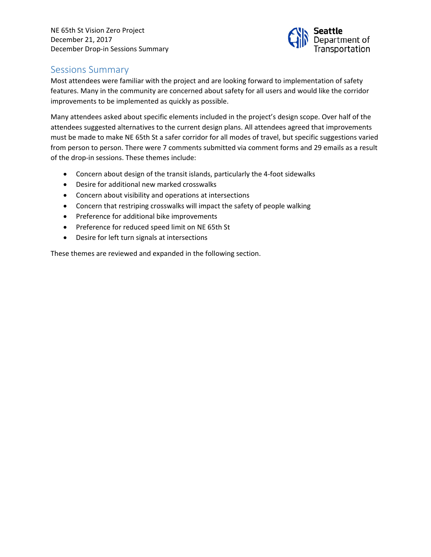

#### <span id="page-3-0"></span>Sessions Summary

Most attendees were familiar with the project and are looking forward to implementation of safety features. Many in the community are concerned about safety for all users and would like the corridor improvements to be implemented as quickly as possible.

Many attendees asked about specific elements included in the project's design scope. Over half of the attendees suggested alternatives to the current design plans. All attendees agreed that improvements must be made to make NE 65th St a safer corridor for all modes of travel, but specific suggestions varied from person to person. There were 7 comments submitted via comment forms and 29 emails as a result of the drop-in sessions. These themes include:

- Concern about design of the transit islands, particularly the 4-foot sidewalks
- Desire for additional new marked crosswalks
- Concern about visibility and operations at intersections
- Concern that restriping crosswalks will impact the safety of people walking
- Preference for additional bike improvements
- Preference for reduced speed limit on NE 65th St
- Desire for left turn signals at intersections

These themes are reviewed and expanded in the following section.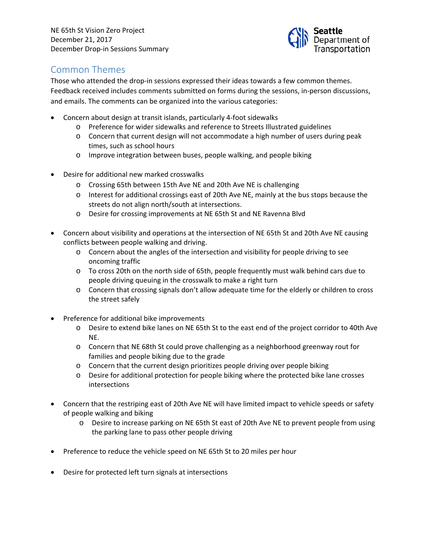

### <span id="page-4-0"></span>Common Themes

Those who attended the drop-in sessions expressed their ideas towards a few common themes. Feedback received includes comments submitted on forms during the sessions, in-person discussions, and emails. The comments can be organized into the various categories:

- Concern about design at transit islands, particularly 4-foot sidewalks
	- o Preference for wider sidewalks and reference to Streets Illustrated guidelines
	- o Concern that current design will not accommodate a high number of users during peak times, such as school hours
	- o Improve integration between buses, people walking, and people biking
- Desire for additional new marked crosswalks
	- o Crossing 65th between 15th Ave NE and 20th Ave NE is challenging
	- o Interest for additional crossings east of 20th Ave NE, mainly at the bus stops because the streets do not align north/south at intersections.
	- o Desire for crossing improvements at NE 65th St and NE Ravenna Blvd
- Concern about visibility and operations at the intersection of NE 65th St and 20th Ave NE causing conflicts between people walking and driving.
	- o Concern about the angles of the intersection and visibility for people driving to see oncoming traffic
	- o To cross 20th on the north side of 65th, people frequently must walk behind cars due to people driving queuing in the crosswalk to make a right turn
	- o Concern that crossing signals don't allow adequate time for the elderly or children to cross the street safely
- Preference for additional bike improvements
	- o Desire to extend bike lanes on NE 65th St to the east end of the project corridor to 40th Ave NE.
	- o Concern that NE 68th St could prove challenging as a neighborhood greenway rout for families and people biking due to the grade
	- o Concern that the current design prioritizes people driving over people biking
	- o Desire for additional protection for people biking where the protected bike lane crosses intersections
- Concern that the restriping east of 20th Ave NE will have limited impact to vehicle speeds or safety of people walking and biking
	- o Desire to increase parking on NE 65th St east of 20th Ave NE to prevent people from using the parking lane to pass other people driving
- Preference to reduce the vehicle speed on NE 65th St to 20 miles per hour
- Desire for protected left turn signals at intersections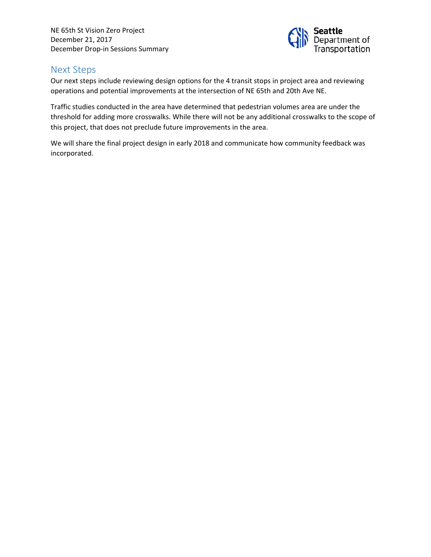

#### <span id="page-5-0"></span>Next Steps

Our next steps include reviewing design options for the 4 transit stops in project area and reviewing operations and potential improvements at the intersection of NE 65th and 20th Ave NE.

Traffic studies conducted in the area have determined that pedestrian volumes area are under the threshold for adding more crosswalks. While there will not be any additional crosswalks to the scope of this project, that does not preclude future improvements in the area.

We will share the final project design in early 2018 and communicate how community feedback was incorporated.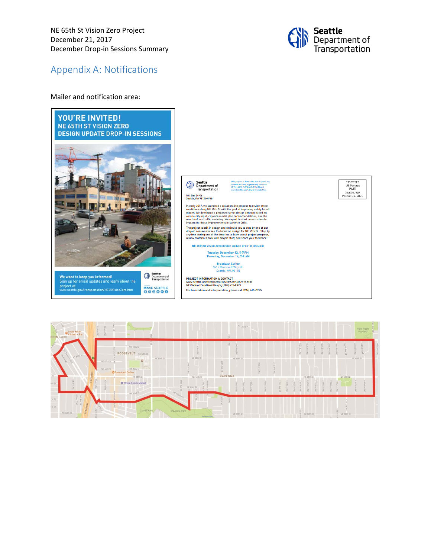

#### <span id="page-6-0"></span>Appendix A: Notifications

#### Mailer and notification area:



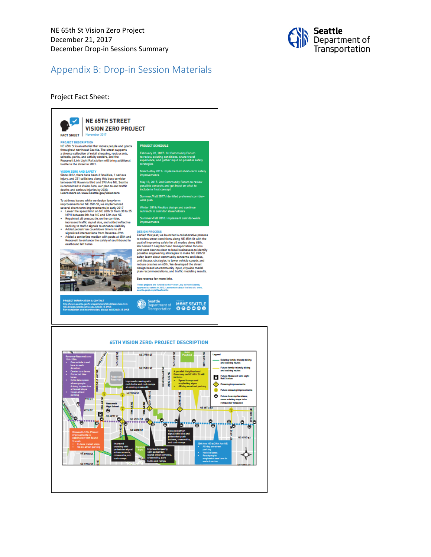

#### <span id="page-7-0"></span>Appendix B: Drop-in Session Materials

#### Project Fact Sheet:

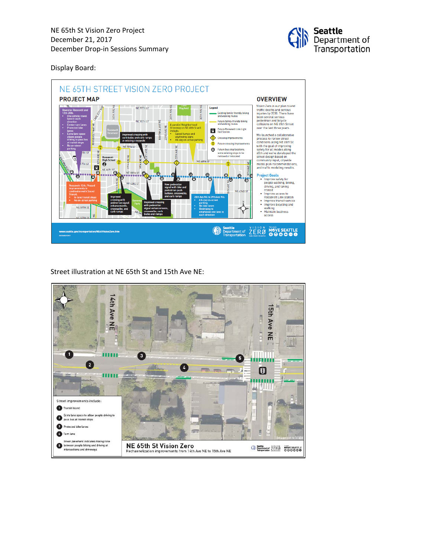

Display Board:



Street illustration at NE 65th St and 15th Ave NE: